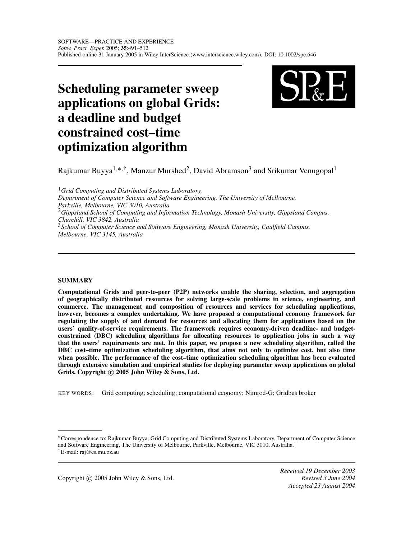# **Scheduling parameter sweep applications on global Grids: a deadline and budget constrained cost–time optimization algorithm**



Rajkumar Buyya<sup>1,∗,†</sup>, Manzur Murshed<sup>2</sup>, David Abramson<sup>3</sup> and Srikumar Venugopal<sup>1</sup>

<sup>1</sup>*Grid Computing and Distributed Systems Laboratory, Department of Computer Science and Software Engineering, The University of Melbourne, Parkville, Melbourne, VIC 3010, Australia* <sup>2</sup>*Gippsland School of Computing and Information Technology, Monash University, Gippsland Campus, Churchill, VIC 3842, Australia* <sup>3</sup>*School of Computer Science and Software Engineering, Monash University, Caulfield Campus, Melbourne, VIC 3145, Australia*

# **SUMMARY**

**Computational Grids and peer-to-peer (P2P) networks enable the sharing, selection, and aggregation of geographically distributed resources for solving large-scale problems in science, engineering, and commerce. The management and composition of resources and services for scheduling applications, however, becomes a complex undertaking. We have proposed a computational economy framework for regulating the supply of and demand for resources and allocating them for applications based on the users' quality-of-service requirements. The framework requires economy-driven deadline- and budgetconstrained (DBC) scheduling algorithms for allocating resources to application jobs in such a way that the users' requirements are met. In this paper, we propose a new scheduling algorithm, called the DBC cost–time optimization scheduling algorithm, that aims not only to optimize cost, but also time when possible. The performance of the cost–time optimization scheduling algorithm has been evaluated through extensive simulation and empirical studies for deploying parameter sweep applications on global Grids. Copyright** -**c 2005 John Wiley & Sons, Ltd.**

KEY WORDS: Grid computing; scheduling; computational economy; Nimrod-G; Gridbus broker

<sup>∗</sup>Correspondence to: Rajkumar Buyya, Grid Computing and Distributed Systems Laboratory, Department of Computer Science and Software Engineering, The University of Melbourne, Parkville, Melbourne, VIC 3010, Australia. †E-mail: raj@cs.mu.oz.au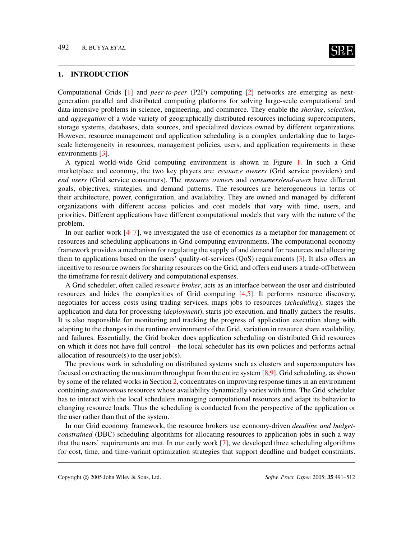# **1. INTRODUCTION**

Computational Grids [[1\]](#page-19-1) and *peer-to-peer* (P2P) computing [[2\]](#page-19-2) networks are emerging as nextgeneration parallel and distributed computing platforms for solving large-scale computational and data-intensive problems in science, engineering, and commerce. They enable the *sharing*, *selection*, and *aggregation* of a wide variety of geographically distributed resources including supercomputers, storage systems, databases, data sources, and specialized devices owned by different organizations. However, resource management and application scheduling is a complex undertaking due to largescale heterogeneity in resources, management policies, users, and application requirements in these environments [\[3\]](#page-19-0).

A typical world-wide Grid computing environment is shown in Figure [1.](#page-2-1) In such a Grid marketplace and economy, the two key players are: *resource owners* (Grid service providers) and *end users* (Grid service consumers). The *resource owners* and *consumers*/*end-users* have different goals, objectives, strategies, and demand patterns. The resources are heterogeneous in terms of their architecture, power, configuration, and availability. They are owned and managed by different organizations with different access policies and cost models that vary with time, users, and priorities. Different applications have different computational models that vary with the nature of the problem.

In our earlier work [\[4–7](#page-20-2)], we investigated the use of economics as a metaphor for management of resources and scheduling applications in Grid computing environments. The computational economy framework provides a mechanism for regulating the supply of and demand for resources and allocating them to applications based on the users' quality-of-services (QoS) requirements [\[3\]](#page-19-0). It also offers an incentive to resource owners for sharing resources on the Grid, and offers end users a trade-off between the timeframe for result delivery and computational expenses.

A Grid scheduler, often called *resource broker*, acts as an interface between the user and distributed resources and hides the complexities of Grid computing [\[4](#page-20-2),[5\]](#page-20-0). It performs resource discovery, negotiates for access costs using trading services, maps jobs to resources (*scheduling*), stages the application and data for processing (*deployment*), starts job execution, and finally gathers the results. It is also responsible for monitoring and tracking the progress of application execution along with adapting to the changes in the runtime environment of the Grid, variation in resource share availability, and failures. Essentially, the Grid broker does application scheduling on distributed Grid resources on which it does not have full control—the local scheduler has its own policies and performs actual allocation of resource(s) to the user  $job(s)$ .

The previous work in scheduling on distributed systems such as clusters and supercomputers has focused on extracting the maximum throughput from the entire system [[8,](#page-20-3)[9](#page-20-1)]. Grid scheduling, as shown by some of the related works in Section [2,](#page-2-0) concentrates on improving response times in an environment containing *autonomous* resources whose availability dynamically varies with time. The Grid scheduler has to interact with the local schedulers managing computational resources and adapt its behavior to changing resource loads. Thus the scheduling is conducted from the perspective of the application or the user rather than that of the system.

In our Grid economy framework, the resource brokers use economy-driven *deadline and budgetconstrained* (DBC) scheduling algorithms for allocating resources to application jobs in such a way that the users' requirements are met. In our early work [[7\]](#page-20-4), we developed three scheduling algorithms for cost, time, and time-variant optimization strategies that support deadline and budget constraints.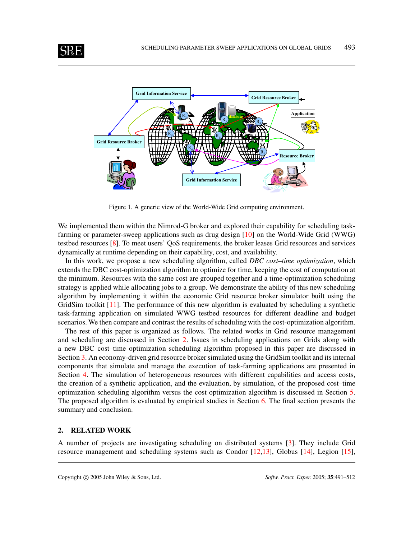<span id="page-2-1"></span>

Figure 1. A generic view of the World-Wide Grid computing environment.

We implemented them within the Nimrod-G broker and explored their capability for scheduling taskfarming or parameter-sweep applications such as drug design [\[10\]](#page-20-5) on the World-Wide Grid (WWG) testbed resources [[8\]](#page-20-3). To meet users' QoS requirements, the broker leases Grid resources and services dynamically at runtime depending on their capability, cost, and availability.

In this work, we propose a new scheduling algorithm, called *DBC cost–time optimization*, which extends the DBC cost-optimization algorithm to optimize for time, keeping the cost of computation at the minimum. Resources with the same cost are grouped together and a time-optimization scheduling strategy is applied while allocating jobs to a group. We demonstrate the ability of this new scheduling algorithm by implementing it within the economic Grid resource broker simulator built using the GridSim toolkit  $[11]$  $[11]$ . The performance of this new algorithm is evaluated by scheduling a synthetic task-farming application on simulated WWG testbed resources for different deadline and budget scenarios. We then compare and contrast the results of scheduling with the cost-optimization algorithm.

The rest of this paper is organized as follows. The related works in Grid resource management and scheduling are discussed in Section [2.](#page-2-0) Issues in scheduling applications on Grids along with a new DBC cost–time optimization scheduling algorithm proposed in this paper are discussed in Section [3.](#page-4-0) An economy-driven grid resource broker simulated using the GridSim toolkit and its internal components that simulate and manage the execution of task-farming applications are presented in Section [4](#page-7-0). The simulation of heterogeneous resources with different capabilities and access costs, the creation of a synthetic application, and the evaluation, by simulation, of the proposed cost–time optimization scheduling algorithm versus the cost optimization algorithm is discussed in Section [5](#page-8-0). The proposed algorithm is evaluated by empirical studies in Section [6](#page-13-0). The final section presents the summary and conclusion.

## <span id="page-2-0"></span>**2. RELATED WORK**

A number of projects are investigating scheduling on distributed systems [\[3\]](#page-19-0). They include Grid resource management and scheduling systems such as Condor  $[12,13]$  $[12,13]$  $[12,13]$ , Globus  $[14]$ , Legion  $[15]$  $[15]$ ,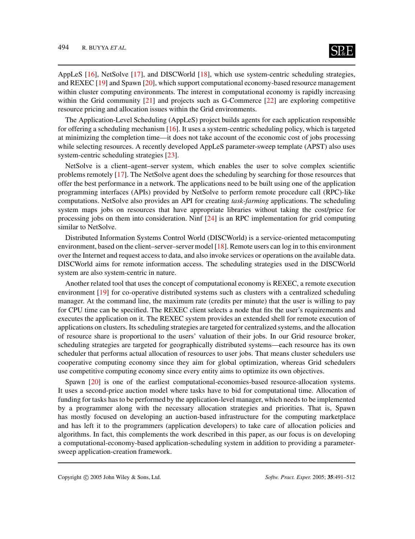AppLeS [\[16](#page-20-14)], NetSolve [\[17](#page-20-11)], and DISCWorld [[18\]](#page-20-19), which use system-centric scheduling strategies, and REXEC [\[19](#page-20-15)] and Spawn [\[20\]](#page-20-12), which support computational economy-based resource management within cluster computing environments. The interest in computational economy is rapidly increasing within the Grid community  $[21]$  $[21]$  and projects such as G-Commerce  $[22]$  are exploring competitive resource pricing and allocation issues within the Grid environments.

The Application-Level Scheduling (AppLeS) project builds agents for each application responsible for offering a scheduling mechanism  $[16]$  $[16]$ . It uses a system-centric scheduling policy, which is targeted at minimizing the completion time—it does not take account of the economic cost of jobs processing while selecting resources. A recently developed AppLeS parameter-sweep template (APST) also uses system-centric scheduling strategies [[23\]](#page-20-17).

NetSolve is a client–agent–server system, which enables the user to solve complex scientific problems remotely [\[17](#page-20-11)]. The NetSolve agent does the scheduling by searching for those resources that offer the best performance in a network. The applications need to be built using one of the application programming interfaces (APIs) provided by NetSolve to perform remote procedure call (RPC)-like computations. NetSolve also provides an API for creating *task-farming* applications. The scheduling system maps jobs on resources that have appropriate libraries without taking the cost/price for processing jobs on them into consideration. Ninf [\[24](#page-20-18)] is an RPC implementation for grid computing similar to NetSolve.

Distributed Information Systems Control World (DISCWorld) is a service-oriented metacomputing environment, based on the client–server–server model [[18\]](#page-20-19). Remote users can log in to this environment over the Internet and request access to data, and also invoke services or operations on the available data. DISCWorld aims for remote information access. The scheduling strategies used in the DISCWorld system are also system-centric in nature.

Another related tool that uses the concept of computational economy is REXEC, a remote execution environment [[19\]](#page-20-15) for co-operative distributed systems such as clusters with a centralized scheduling manager. At the command line, the maximum rate (credits per minute) that the user is willing to pay for CPU time can be specified. The REXEC client selects a node that fits the user's requirements and executes the application on it. The REXEC system provides an extended shell for remote execution of applications on clusters. Its scheduling strategies are targeted for centralized systems, and the allocation of resource share is proportional to the users' valuation of their jobs. In our Grid resource broker, scheduling strategies are targeted for geographically distributed systems—each resource has its own scheduler that performs actual allocation of resources to user jobs. That means cluster schedulers use cooperative computing economy since they aim for global optimization, whereas Grid schedulers use competitive computing economy since every entity aims to optimize its own objectives.

Spawn [\[20\]](#page-20-12) is one of the earliest computational-economies-based resource-allocation systems. It uses a second-price auction model where tasks have to bid for computational time. Allocation of funding for tasks has to be performed by the application-level manager, which needs to be implemented by a programmer along with the necessary allocation strategies and priorities. That is, Spawn has mostly focused on developing an auction-based infrastructure for the computing marketplace and has left it to the programmers (application developers) to take care of allocation policies and algorithms. In fact, this complements the work described in this paper, as our focus is on developing a computational-economy-based application-scheduling system in addition to providing a parametersweep application-creation framework.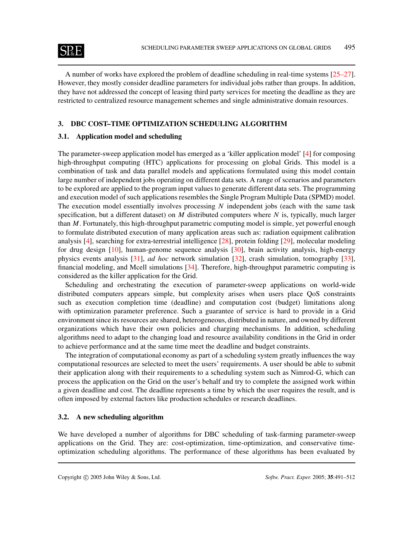

A number of works have explored the problem of deadline scheduling in real-time systems [\[25–27](#page-20-20)]. However, they mostly consider deadline parameters for individual jobs rather than groups. In addition, they have not addressed the concept of leasing third party services for meeting the deadline as they are restricted to centralized resource management schemes and single administrative domain resources.

#### <span id="page-4-0"></span>**3. DBC COST–TIME OPTIMIZATION SCHEDULING ALGORITHM**

#### **3.1. Application model and scheduling**

The parameter-sweep application model has emerged as a 'killer application model' [\[4\]](#page-20-2) for composing high-throughput computing (HTC) applications for processing on global Grids. This model is a combination of task and data parallel models and applications formulated using this model contain large number of independent jobs operating on different data sets. A range of scenarios and parameters to be explored are applied to the program input values to generate different data sets. The programming and execution model of such applications resembles the Single Program Multiple Data (SPMD) model. The execution model essentially involves processing *N* independent jobs (each with the same task specification, but a different dataset) on *M* distributed computers where *N* is, typically, much larger than *M*. Fortunately, this high-throughput parametric computing model is simple, yet powerful enough to formulate distributed execution of many application areas such as: radiation equipment calibration analysis  $[4]$ , searching for extra-terrestrial intelligence  $[28]$  $[28]$ , protein folding  $[29]$  $[29]$ , molecular modeling for drug design  $[10]$  $[10]$ , human-genome sequence analysis  $[30]$ , brain activity analysis, high-energy physics events analysis [\[31](#page-21-0)], *ad hoc* network simulation [[32\]](#page-21-3), crash simulation, tomography [\[33](#page-21-5)], financial modeling, and Mcell simulations [\[34](#page-21-6)]. Therefore, high-throughput parametric computing is considered as the killer application for the Grid.

Scheduling and orchestrating the execution of parameter-sweep applications on world-wide distributed computers appears simple, but complexity arises when users place QoS constraints such as execution completion time (deadline) and computation cost (budget) limitations along with optimization parameter preference. Such a guarantee of service is hard to provide in a Grid environment since its resources are shared, heterogeneous, distributed in nature, and owned by different organizations which have their own policies and charging mechanisms. In addition, scheduling algorithms need to adapt to the changing load and resource availability conditions in the Grid in order to achieve performance and at the same time meet the deadline and budget constraints.

The integration of computational economy as part of a scheduling system greatly influences the way computational resources are selected to meet the users' requirements. A user should be able to submit their application along with their requirements to a scheduling system such as Nimrod-G, which can process the application on the Grid on the user's behalf and try to complete the assigned work within a given deadline and cost. The deadline represents a time by which the user requires the result, and is often imposed by external factors like production schedules or research deadlines.

## **3.2. A new scheduling algorithm**

We have developed a number of algorithms for DBC scheduling of task-farming parameter-sweep applications on the Grid. They are: cost-optimization, time-optimization, and conservative timeoptimization scheduling algorithms. The performance of these algorithms has been evaluated by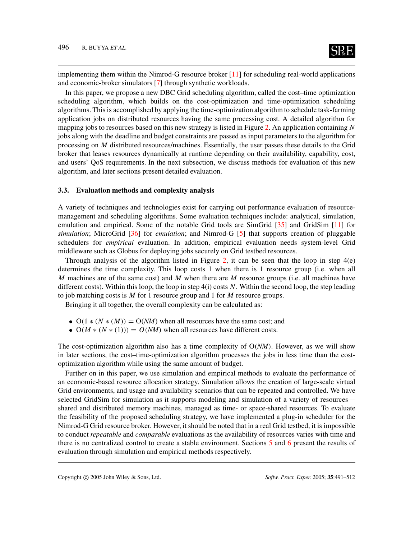implementing them within the Nimrod-G resource broker  $[11]$  $[11]$  for scheduling real-world applications and economic-broker simulators [[7\]](#page-20-4) through synthetic workloads.

In this paper, we propose a new DBC Grid scheduling algorithm, called the cost–time optimization scheduling algorithm, which builds on the cost-optimization and time-optimization scheduling algorithms. This is accomplished by applying the time-optimization algorithm to schedule task-farming application jobs on distributed resources having the same processing cost. A detailed algorithm for mapping jobs to resources based on this new strategy is listed in Figure [2.](#page-6-0) An application containing *N* jobs along with the deadline and budget constraints are passed as input parameters to the algorithm for processing on *M* distributed resources/machines. Essentially, the user passes these details to the Grid broker that leases resources dynamically at runtime depending on their availability, capability, cost, and users' QoS requirements. In the next subsection, we discuss methods for evaluation of this new algorithm, and later sections present detailed evaluation.

#### **3.3. Evaluation methods and complexity analysis**

A variety of techniques and technologies exist for carrying out performance evaluation of resourcemanagement and scheduling algorithms. Some evaluation techniques include: analytical, simulation, emulation and empirical. Some of the notable Grid tools are SimGrid [\[35](#page-21-8)] and GridSim [[11\]](#page-20-10) for *simulation*; MicroGrid [[36\]](#page-21-7) for *emulation*; and Nimrod-G [\[5\]](#page-20-0) that supports creation of pluggable schedulers for *empirical* evaluation. In addition, empirical evaluation needs system-level Grid middleware such as Globus for deploying jobs securely on Grid testbed resources.

Through analysis of the algorithm listed in Figure [2,](#page-6-0) it can be seen that the loop in step  $4(e)$ determines the time complexity. This loop costs 1 when there is 1 resource group (i.e. when all *M* machines are of the same cost) and *M* when there are *M* resource groups (i.e. all machines have different costs). Within this loop, the loop in step 4(i) costs *N*. Within the second loop, the step leading to job matching costs is *M* for 1 resource group and 1 for *M* resource groups.

Bringing it all together, the overall complexity can be calculated as:

- $O(1 * (N * (M)) = O(NM)$  when all resources have the same cost; and
- $O(M * (N * (1))) = O(NM)$  when all resources have different costs.

The cost-optimization algorithm also has a time complexity of O*(NM)*. However, as we will show in later sections, the cost–time-optimization algorithm processes the jobs in less time than the costoptimization algorithm while using the same amount of budget.

Further on in this paper, we use simulation and empirical methods to evaluate the performance of an economic-based resource allocation strategy. Simulation allows the creation of large-scale virtual Grid environments, and usage and availability scenarios that can be repeated and controlled. We have selected GridSim for simulation as it supports modeling and simulation of a variety of resources shared and distributed memory machines, managed as time- or space-shared resources. To evaluate the feasibility of the proposed scheduling strategy, we have implemented a plug-in scheduler for the Nimrod-G Grid resource broker. However, it should be noted that in a real Grid testbed, it is impossible to conduct *repeatable* and *comparable* evaluations as the availability of resources varies with time and there is no centralized control to create a stable environment. Sections [5](#page-8-0) and [6](#page-13-0) present the results of evaluation through simulation and empirical methods respectively.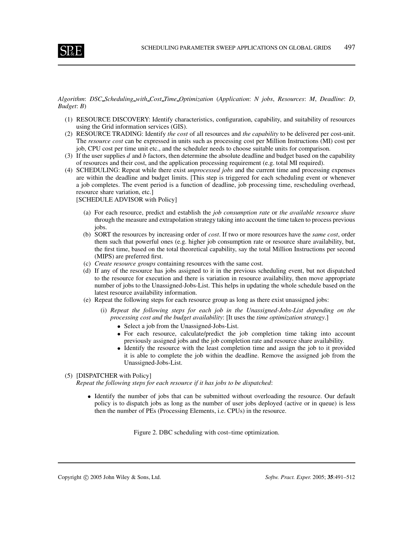

<span id="page-6-0"></span>*Algorithm*: *DSC Scheduling with Cost Time Optimization* (*Application*: *N jobs*, *Resources*: *M*, *Deadline*: *D*, *Budget*: *B*)

- (1) RESOURCE DISCOVERY: Identify characteristics, configuration, capability, and suitability of resources using the Grid information services (GIS).
- (2) RESOURCE TRADING: Identify *the cost* of all resources and *the capability* to be delivered per cost-unit. The *resource cost* can be expressed in units such as processing cost per Million Instructions (MI) cost per job, CPU cost per time unit etc., and the scheduler needs to choose suitable units for comparison.
- (3) If the user supplies *d* and *b* factors, then determine the absolute deadline and budget based on the capability of resources and their cost, and the application processing requirement (e.g. total MI required).
- (4) SCHEDULING: Repeat while there exist *unprocessed jobs* and the current time and processing expenses are within the deadline and budget limits. [This step is triggered for each scheduling event or whenever a job completes. The event period is a function of deadline, job processing time, rescheduling overhead, resource share variation, etc.]

[SCHEDULE ADVISOR with Policy]

- (a) For each resource, predict and establish the *job consumption rate* or *the available resource share* through the measure and extrapolation strategy taking into account the time taken to process previous jobs.
- (b) SORT the resources by increasing order of *cost*. If two or more resources have the *same cost*, order them such that powerful ones (e.g. higher job consumption rate or resource share availability, but, the first time, based on the total theoretical capability, say the total Million Instructions per second (MIPS) are preferred first.
- (c) *Create resource groups* containing resources with the same cost.
- (d) If any of the resource has jobs assigned to it in the previous scheduling event, but not dispatched to the resource for execution and there is variation in resource availability, then move appropriate number of jobs to the Unassigned-Jobs-List. This helps in updating the whole schedule based on the latest resource availability information.
- (e) Repeat the following steps for each resource group as long as there exist unassigned jobs:

(i) *Repeat the following steps for each job in the Unassigned-Jobs-List depending on the processing cost and the budget availability*: [It uses the *time optimization strategy*.]

- Select a job from the Unassigned-Jobs-List.
- For each resource, calculate/predict the job completion time taking into account previously assigned jobs and the job completion rate and resource share availability.
- Identify the resource with the least completion time and assign the job to it provided it is able to complete the job within the deadline. Remove the assigned job from the Unassigned-Jobs-List.

#### (5) [DISPATCHER with Policy]

*Repeat the following steps for each resource if it has jobs to be dispatched*:

• Identify the number of jobs that can be submitted without overloading the resource. Our default policy is to dispatch jobs as long as the number of user jobs deployed (active or in queue) is less then the number of PEs (Processing Elements, i.e. CPUs) in the resource.

Figure 2. DBC scheduling with cost–time optimization.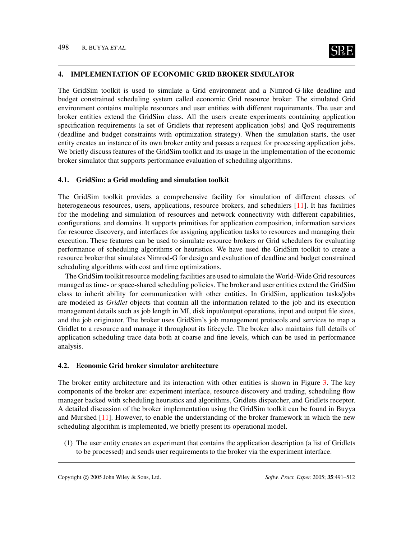## <span id="page-7-0"></span>**4. IMPLEMENTATION OF ECONOMIC GRID BROKER SIMULATOR**

The GridSim toolkit is used to simulate a Grid environment and a Nimrod-G-like deadline and budget constrained scheduling system called economic Grid resource broker. The simulated Grid environment contains multiple resources and user entities with different requirements. The user and broker entities extend the GridSim class. All the users create experiments containing application specification requirements (a set of Gridlets that represent application jobs) and QoS requirements (deadline and budget constraints with optimization strategy). When the simulation starts, the user entity creates an instance of its own broker entity and passes a request for processing application jobs. We briefly discuss features of the GridSim toolkit and its usage in the implementation of the economic broker simulator that supports performance evaluation of scheduling algorithms.

#### **4.1. GridSim: a Grid modeling and simulation toolkit**

The GridSim toolkit provides a comprehensive facility for simulation of different classes of heterogeneous resources, users, applications, resource brokers, and schedulers [\[11\]](#page-20-10). It has facilities for the modeling and simulation of resources and network connectivity with different capabilities, configurations, and domains. It supports primitives for application composition, information services for resource discovery, and interfaces for assigning application tasks to resources and managing their execution. These features can be used to simulate resource brokers or Grid schedulers for evaluating performance of scheduling algorithms or heuristics. We have used the GridSim toolkit to create a resource broker that simulates Nimrod-G for design and evaluation of deadline and budget constrained scheduling algorithms with cost and time optimizations.

The GridSim toolkit resource modeling facilities are used to simulate the World-Wide Grid resources managed as time- or space-shared scheduling policies. The broker and user entities extend the GridSim class to inherit ability for communication with other entities. In GridSim, application tasks/jobs are modeled as *Gridlet* objects that contain all the information related to the job and its execution management details such as job length in MI, disk input/output operations, input and output file sizes, and the job originator. The broker uses GridSim's job management protocols and services to map a Gridlet to a resource and manage it throughout its lifecycle. The broker also maintains full details of application scheduling trace data both at coarse and fine levels, which can be used in performance analysis.

## **4.2. Economic Grid broker simulator architecture**

The broker entity architecture and its interaction with other entities is shown in Figure [3.](#page-8-1) The key components of the broker are: experiment interface, resource discovery and trading, scheduling flow manager backed with scheduling heuristics and algorithms, Gridlets dispatcher, and Gridlets receptor. A detailed discussion of the broker implementation using the GridSim toolkit can be found in Buyya and Murshed [[11\]](#page-20-10). However, to enable the understanding of the broker framework in which the new scheduling algorithm is implemented, we briefly present its operational model.

(1) The user entity creates an experiment that contains the application description (a list of Gridlets to be processed) and sends user requirements to the broker via the experiment interface.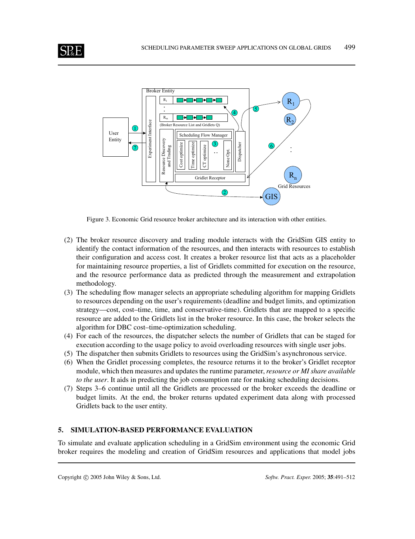

<span id="page-8-1"></span>

Figure 3. Economic Grid resource broker architecture and its interaction with other entities.

- (2) The broker resource discovery and trading module interacts with the GridSim GIS entity to identify the contact information of the resources, and then interacts with resources to establish their configuration and access cost. It creates a broker resource list that acts as a placeholder for maintaining resource properties, a list of Gridlets committed for execution on the resource, and the resource performance data as predicted through the measurement and extrapolation methodology.
- (3) The scheduling flow manager selects an appropriate scheduling algorithm for mapping Gridlets to resources depending on the user's requirements (deadline and budget limits, and optimization strategy—cost, cost–time, time, and conservative-time). Gridlets that are mapped to a specific resource are added to the Gridlets list in the broker resource. In this case, the broker selects the algorithm for DBC cost–time-optimization scheduling.
- (4) For each of the resources, the dispatcher selects the number of Gridlets that can be staged for execution according to the usage policy to avoid overloading resources with single user jobs.
- (5) The dispatcher then submits Gridlets to resources using the GridSim's asynchronous service.
- (6) When the Gridlet processing completes, the resource returns it to the broker's Gridlet receptor module, which then measures and updates the runtime parameter,*resource or MI share available to the user*. It aids in predicting the job consumption rate for making scheduling decisions.
- (7) Steps 3–6 continue until all the Gridlets are processed or the broker exceeds the deadline or budget limits. At the end, the broker returns updated experiment data along with processed Gridlets back to the user entity.

# <span id="page-8-0"></span>**5. SIMULATION-BASED PERFORMANCE EVALUATION**

To simulate and evaluate application scheduling in a GridSim environment using the economic Grid broker requires the modeling and creation of GridSim resources and applications that model jobs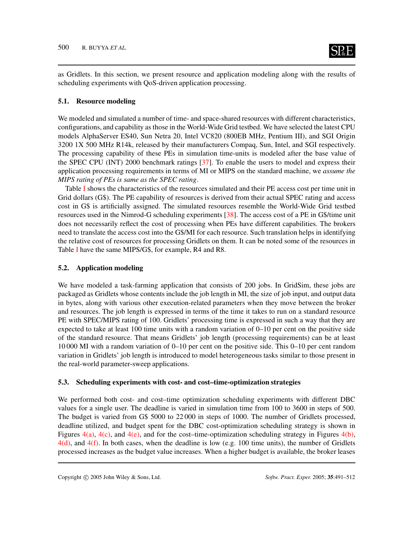

as Gridlets. In this section, we present resource and application modeling along with the results of scheduling experiments with QoS-driven application processing.

# **5.1. Resource modeling**

We modeled and simulated a number of time- and space-shared resources with different characteristics, configurations, and capability as those in the World-Wide Grid testbed. We have selected the latest CPU models AlphaServer ES40, Sun Netra 20, Intel VC820 (800EB MHz, Pentium III), and SGI Origin 3200 1X 500 MHz R14k, released by their manufacturers Compaq, Sun, Intel, and SGI respectively. The processing capability of these PEs in simulation time-units is modeled after the base value of the SPEC CPU (INT) 2000 benchmark ratings [[37\]](#page-21-10). To enable the users to model and express their application processing requirements in terms of MI or MIPS on the standard machine, we *assume the MIPS rating of PEs is same as the SPEC rating*.

Table [I](#page-10-0) shows the characteristics of the resources simulated and their PE access cost per time unit in Grid dollars (G\$). The PE capability of resources is derived from their actual SPEC rating and access cost in G\$ is artificially assigned. The simulated resources resemble the World-Wide Grid testbed resources used in the Nimrod-G scheduling experiments [[38\]](#page-21-9). The access cost of a PE in G\$/time unit does not necessarily reflect the cost of processing when PEs have different capabilities. The brokers need to translate the access cost into the G\$/MI for each resource. Such translation helps in identifying the relative cost of resources for processing Gridlets on them. It can be noted some of the resources in Table [I](#page-10-0) have the same MIPS/G\$, for example, R4 and R8.

# **5.2. Application modeling**

We have modeled a task-farming application that consists of 200 jobs. In GridSim, these jobs are packaged as Gridlets whose contents include the job length in MI, the size of job input, and output data in bytes, along with various other execution-related parameters when they move between the broker and resources. The job length is expressed in terms of the time it takes to run on a standard resource PE with SPEC/MIPS rating of 100. Gridlets' processing time is expressed in such a way that they are expected to take at least 100 time units with a random variation of 0–10 per cent on the positive side of the standard resource. That means Gridlets' job length (processing requirements) can be at least 10 000 MI with a random variation of 0–10 per cent on the positive side. This 0–10 per cent random variation in Gridlets' job length is introduced to model heterogeneous tasks similar to those present in the real-world parameter-sweep applications.

# **5.3. Scheduling experiments with cost- and cost–time-optimization strategies**

We performed both cost- and cost–time optimization scheduling experiments with different DBC values for a single user. The deadline is varied in simulation time from 100 to 3600 in steps of 500. The budget is varied from G\$ 5000 to 22 000 in steps of 1000. The number of Gridlets processed, deadline utilized, and budget spent for the DBC cost-optimization scheduling strategy is shown in Figures [4\(a\),](#page-11-0) [4\(c\),](#page-11-0) and [4\(e\),](#page-11-0) and for the cost–time-optimization scheduling strategy in Figures [4\(b\),](#page-11-0)  $4(d)$ , and  $4(f)$ . In both cases, when the deadline is low (e.g. 100 time units), the number of Gridlets processed increases as the budget value increases. When a higher budget is available, the broker leases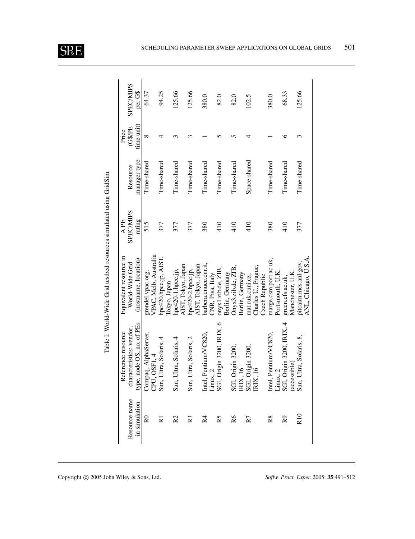<span id="page-10-0"></span>

|                                                                     |                        | <b>SPEC/MIPS</b><br>per G\$                           | 64.37                                      | 94.25                                 | 125.66                                  | 125.66                                  | 380.0                                     | 82.0                                  | 82.0                                  | 102.5                                                     | 380.0                                     | 68.33                                     | 125.66                                        |
|---------------------------------------------------------------------|------------------------|-------------------------------------------------------|--------------------------------------------|---------------------------------------|-----------------------------------------|-----------------------------------------|-------------------------------------------|---------------------------------------|---------------------------------------|-----------------------------------------------------------|-------------------------------------------|-------------------------------------------|-----------------------------------------------|
| Table I. World-Wide Grid testbed resources simulated using GridSim. | Price                  | time unit)<br>(G\$/PE                                 | $\infty$                                   | 4                                     |                                         |                                         |                                           |                                       |                                       |                                                           |                                           |                                           |                                               |
|                                                                     |                        | manager type<br>Resource                              | Time-shared                                | Time-shared                           | Time-shared                             | Time-shared                             | Time-shared                               | Time-shared                           | Time-shared                           | Space-shared                                              | Time-shared                               | Time-shared                               | Time-shared                                   |
|                                                                     | A <sub>PE</sub>        | <b>SPEC/MIPS</b><br>rating                            | 515                                        | 377                                   | 377                                     | 377                                     | 380                                       | 410                                   | 410                                   | 410                                                       | 380                                       | 410                                       | 377                                           |
|                                                                     | Equivalent resource in | (hostname, location)<br>World-Wide Grid               | VPAC, Melb, Australia<br>grendel.vpac.org, | hpc420.hpcc.jp, AIST,<br>Tokyo, Japan | AIST, Tokyo, Japan<br>hpc420-1.hpcc.jp, | AIST, Tokyo, Japan<br>hpc420-2.hpcc.jp, | barbera.cnuce.cnr.it,<br>CNR, Pisa, Italy | onyx1.zib.de, ZIB,<br>Berlin, Germany | Onyx3.zib.de, ZIB,<br>Berlin, Germany | Charles U., Prague,<br>mat.ruk.cuni.cz,<br>Czech Republic | marge.csm.port.ac.uk.<br>Portsmouth, U.K. | Manchester, U.K<br>green.cfs.ac.uk,       | ANL, Chicago, U.S.A.<br>pitcairn.mcs.anl.gov, |
|                                                                     | Reference resource     | type, node OS, no. of PEs<br>characteristics: vendor, | Compaq, AlphaServer,<br>CPU, OSF1, 4       | Sun, Ultra, Solaris, 4                | Sun, Ultra, Solaris, 4                  | Sun, Ultra, Solaris, 2                  | Intel, Pentium/VC820,<br>Linux, 2         | SGI, Origin 3200, IRIX, 6             | SGI, Origin 3200,<br>RIX, 16          | SGI, Origin 3200,<br>IRIX, 16                             | Intel, Pentium/VC820,<br>Linux, 2         | SGI, Origin 3200, IRIX, 4<br>(accessible) | Sun, Ultra, Solaris, 8,                       |
|                                                                     |                        | Resource name<br>in simulation                        | $\approx$                                  | $\overline{\mathbf{z}}$               | R <sub>2</sub>                          | R3                                      | R4                                        | R5                                    | R6                                    | R7                                                        | R8                                        | R9                                        | R <sub>10</sub>                               |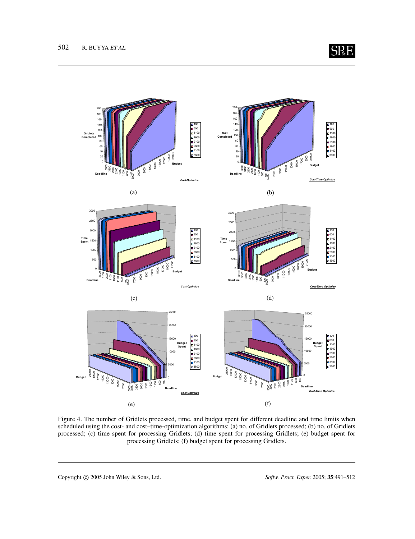$S_{\rm R}E$ 

<span id="page-11-0"></span>

Figure 4. The number of Gridlets processed, time, and budget spent for different deadline and time limits when scheduled using the cost- and cost–time-optimization algorithms: (a) no. of Gridlets processed; (b) no. of Gridlets processed; (c) time spent for processing Gridlets; (d) time spent for processing Gridlets; (e) budget spent for processing Gridlets; (f) budget spent for processing Gridlets.

c 2005 John Wiley & Sons, Ltd. *Softw. Pract. Exper.* 2005; **35**:491–512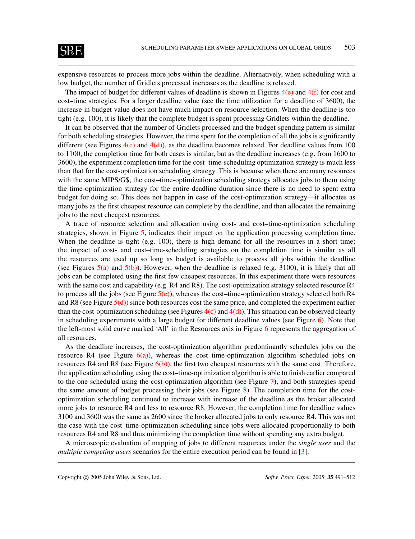expensive resources to process more jobs within the deadline. Alternatively, when scheduling with a low budget, the number of Gridlets processed increases as the deadline is relaxed.

The impact of budget for different values of deadline is shown in Figures  $4(e)$  and  $4(f)$  for cost and cost–time strategies. For a larger deadline value (see the time utilization for a deadline of 3600), the increase in budget value does not have much impact on resource selection. When the deadline is too tight (e.g. 100), it is likely that the complete budget is spent processing Gridlets within the deadline.

It can be observed that the number of Gridlets processed and the budget-spending pattern is similar for both scheduling strategies. However, the time spent for the completion of all the jobs is significantly different (see Figures  $4(c)$  and  $4(d)$ ), as the deadline becomes relaxed. For deadline values from 100 to 1100, the completion time for both cases is similar, but as the deadline increases (e.g. from 1600 to 3600), the experiment completion time for the cost–time-scheduling optimization strategy is much less than that for the cost-optimization scheduling strategy. This is because when there are many resources with the same MIPS/G\$, the cost–time-optimization scheduling strategy allocates jobs to them using the time-optimization strategy for the entire deadline duration since there is no need to spent extra budget for doing so. This does not happen in case of the cost-optimization strategy—it allocates as many jobs as the first cheapest resource can complete by the deadline, and then allocates the remaining jobs to the next cheapest resources.

A trace of resource selection and allocation using cost- and cost–time-optimization scheduling strategies, shown in Figure [5,](#page-13-1) indicates their impact on the application processing completion time. When the deadline is tight (e.g. 100), there is high demand for all the resources in a short time; the impact of cost- and cost–time-scheduling strategies on the completion time is similar as all the resources are used up so long as budget is available to process all jobs within the deadline (see Figures  $5(a)$  and  $5(b)$ ). However, when the deadline is relaxed (e.g. 3100), it is likely that all jobs can be completed using the first few cheapest resources. In this experiment there were resources with the same cost and capability (e.g. R4 and R8). The cost-optimization strategy selected resource R4 to process all the jobs (see Figure  $5(c)$ ), whereas the cost–time-optimization strategy selected both R4 and R8 (see Figure  $5(d)$ ) since both resources cost the same price, and completed the experiment earlier than the cost-optimization scheduling (see Figures  $4(c)$  and  $4(d)$ ). This situation can be observed clearly in scheduling experiments with a large budget for different deadline values (see Figure  $6$ ). Note that the left-most solid curve marked 'All' in the Resources axis in Figure [6](#page-14-1) represents the aggregation of all resources.

As the deadline increases, the cost-optimization algorithm predominantly schedules jobs on the resource R4 (see Figure  $6(a)$ ), whereas the cost–time-optimization algorithm scheduled jobs on resources R4 and R8 (see Figure  $6(b)$ ), the first two cheapest resources with the same cost. Therefore, the application scheduling using the cost–time-optimization algorithm is able to finish earlier compared to the one scheduled using the cost-optimization algorithm (see Figure [7\)](#page-14-0), and both strategies spend the same amount of budget processing their jobs (see Figure [8\)](#page-15-0). The completion time for the costoptimization scheduling continued to increase with increase of the deadline as the broker allocated more jobs to resource R4 and less to resource R8. However, the completion time for deadline values 3100 and 3600 was the same as 2600 since the broker allocated jobs to only resource R4. This was not the case with the cost–time-optimization scheduling since jobs were allocated proportionally to both resources R4 and R8 and thus minimizing the completion time without spending any extra budget.

A microscopic evaluation of mapping of jobs to different resources under the *single user* and the *multiple competing users* scenarios for the entire execution period can be found in [[3\]](#page-19-0).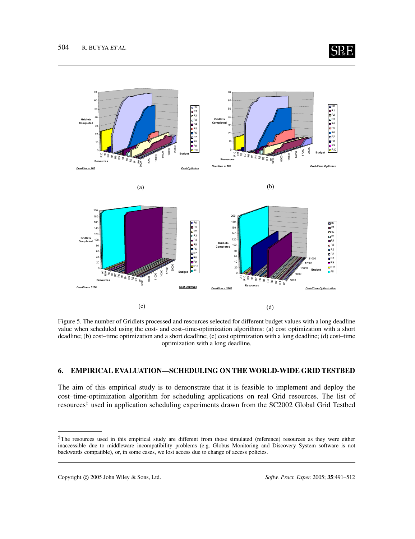<span id="page-13-1"></span>



Figure 5. The number of Gridlets processed and resources selected for different budget values with a long deadline value when scheduled using the cost- and cost–time-optimization algorithms: (a) cost optimization with a short deadline; (b) cost–time optimization and a short deadline; (c) cost optimization with a long deadline; (d) cost–time optimization with a long deadline.

#### <span id="page-13-0"></span>**6. EMPIRICAL EVALUATION—SCHEDULING ON THE WORLD-WIDE GRID TESTBED**

The aim of this empirical study is to demonstrate that it is feasible to implement and deploy the cost–time-optimization algorithm for scheduling applications on real Grid resources. The list of resources‡ used in application scheduling experiments drawn from the SC2002 Global Grid Testbed

Copyright  $\odot$  2005 John Wiley & Sons, Ltd.

<sup>‡</sup>The resources used in this empirical study are different from those simulated (reference) resources as they were either inaccessible due to middleware incompatibility problems (e.g. Globus Monitoring and Discovery System software is not backwards compatible), or, in some cases, we lost access due to change of access policies.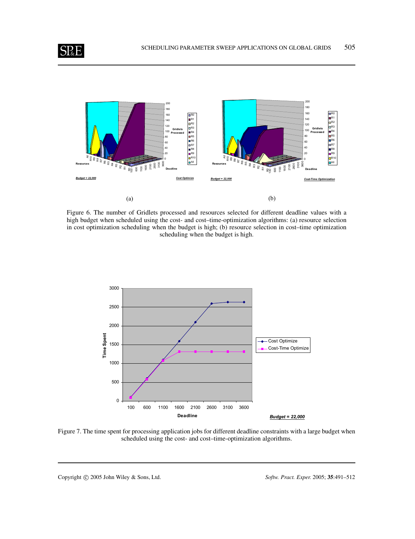

<span id="page-14-1"></span>

Figure 6. The number of Gridlets processed and resources selected for different deadline values with a high budget when scheduled using the cost- and cost-time-optimization algorithms: (a) resource selection in cost optimization scheduling when the budget is high; (b) resource selection in cost–time optimization scheduling when the budget is high.

<span id="page-14-0"></span>

Figure 7. The time spent for processing application jobs for different deadline constraints with a large budget when scheduled using the cost- and cost–time-optimization algorithms.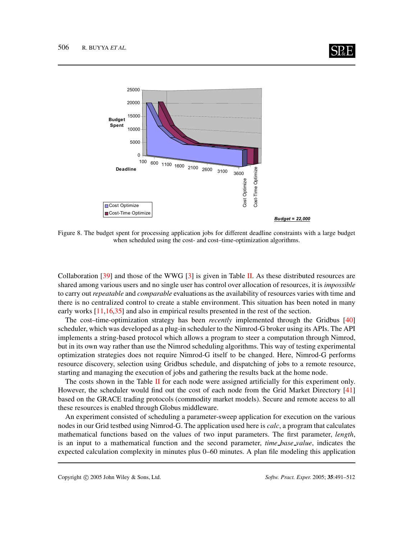<span id="page-15-0"></span>

Figure 8. The budget spent for processing application jobs for different deadline constraints with a large budget when scheduled using the cost- and cost–time-optimization algorithms.

Collaboration  $\lceil 39 \rceil$  and those of the WWG  $\lceil 3 \rceil$  is given in Table [II.](#page-16-0) As these distributed resources are shared among various users and no single user has control over allocation of resources, it is *impossible* to carry out *repeatable* and *comparable* evaluations as the availability of resources varies with time and there is no centralized control to create a stable environment. This situation has been noted in many early works [[11](#page-20-10)[,16](#page-20-14),[35\]](#page-21-8) and also in empirical results presented in the rest of the section.

The cost–time-optimization strategy has been *recently* implemented through the Gridbus [\[40\]](#page-21-12) scheduler, which was developed as a plug-in scheduler to the Nimrod-G broker using its APIs. The API implements a string-based protocol which allows a program to steer a computation through Nimrod, but in its own way rather than use the Nimrod scheduling algorithms. This way of testing experimental optimization strategies does not require Nimrod-G itself to be changed. Here, Nimrod-G performs resource discovery, selection using Gridbus schedule, and dispatching of jobs to a remote resource, starting and managing the execution of jobs and gathering the results back at the home node.

The costs shown in the Table [II](#page-16-0) for each node were assigned artificially for this experiment only. However, the scheduler would find out the cost of each node from the Grid Market Directory [\[41\]](#page-21-13) based on the GRACE trading protocols (commodity market models). Secure and remote access to all these resources is enabled through Globus middleware.

An experiment consisted of scheduling a parameter-sweep application for execution on the various nodes in our Grid testbed using Nimrod-G. The application used here is *calc*, a program that calculates mathematical functions based on the values of two input parameters. The first parameter, *length*, is an input to a mathematical function and the second parameter, *time base value*, indicates the expected calculation complexity in minutes plus 0–60 minutes. A plan file modeling this application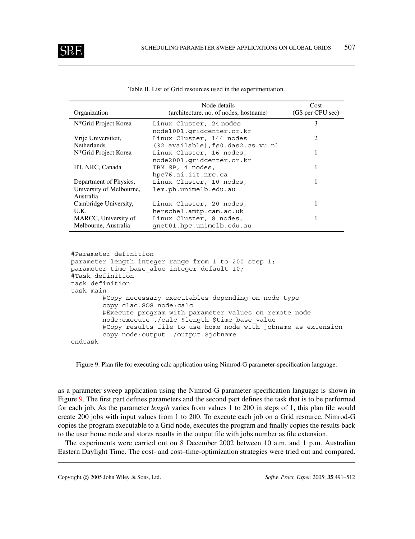| Organization             | Node details<br>(architecture, no. of nodes, hostname) | Cost<br>(G\$ per CPU sec)     |
|--------------------------|--------------------------------------------------------|-------------------------------|
| N*Grid Project Korea     | Linux Cluster, 24 nodes                                | 3                             |
|                          | node1001.gridcenter.or.kr                              |                               |
| Vrije Universiteit,      | Linux Cluster, 144 nodes                               | $\mathfrak{D}_{\mathfrak{p}}$ |
| <b>Netherlands</b>       | (32 available), fs0.das2.cs.vu.nl                      |                               |
| N*Grid Project Korea     | Linux Cluster, 16 nodes,                               |                               |
|                          | node2001.qridcenter.or.kr                              |                               |
| IIT, NRC, Canada         | IBM SP, 4 nodes,                                       |                               |
|                          | hpc76.ai.iit.nrc.ca                                    |                               |
| Department of Physics,   | Linux Cluster, 10 nodes,                               |                               |
| University of Melbourne, | lem.ph.unimelb.edu.au                                  |                               |
| Australia                |                                                        |                               |
| Cambridge University,    | Linux Cluster, 20 nodes,                               |                               |
| U.K.                     | herschel.amtp.cam.ac.uk                                |                               |
| MARCC, University of     | Linux Cluster, 8 nodes,                                |                               |
| Melbourne, Australia     | qnet01.hpc.unimelb.edu.au                              |                               |

<span id="page-16-0"></span>Table II. List of Grid resources used in the experimentation.

```
#Parameter definition
parameter length integer range from 1 to 200 step 1;
parameter time base alue integer default 10;
#Task definition
task definition
task main
        #Copy necessary executables depending on node type
        copy clac.SOS node:calc
        #Execute program with parameter values on remote node
        node:execute ./calc $length $time_base_value
        #Copy results file to use home node with jobname as extension
        copy node:output ./output.$jobname
endtask
```
Figure 9. Plan file for executing calc application using Nimrod-G parameter-specification language.

as a parameter sweep application using the Nimrod-G parameter-specification language is shown in Figure [9](#page-16-1). The first part defines parameters and the second part defines the task that is to be performed for each job. As the parameter *length* varies from values 1 to 200 in steps of 1, this plan file would create 200 jobs with input values from 1 to 200. To execute each job on a Grid resource, Nimrod-G copies the program executable to a Grid node, executes the program and finally copies the results back to the user home node and stores results in the output file with jobs number as file extension.

The experiments were carried out on 8 December 2002 between 10 a.m. and 1 p.m. Australian Eastern Daylight Time. The cost- and cost–time-optimization strategies were tried out and compared.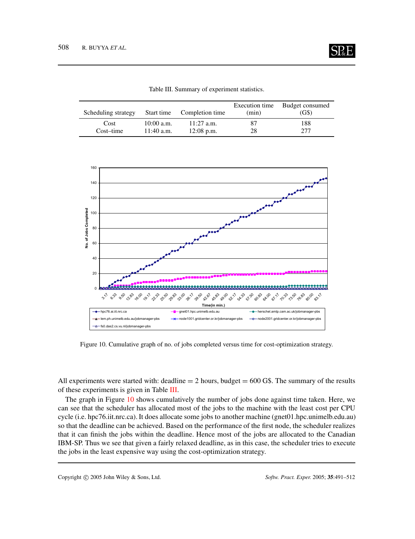<span id="page-17-1"></span>

| Scheduling strategy | Start time   | Completion time | Execution time<br>(min) | Budget consumed<br>(G\$) |
|---------------------|--------------|-----------------|-------------------------|--------------------------|
| Cost                | $10:00$ a.m. | $11:27$ a.m.    | 87                      | 188                      |
| Cost–time           | $11:40$ a.m. | $12:08$ p.m.    | 28                      | 277                      |

Table III. Summary of experiment statistics.

<span id="page-17-0"></span>

Figure 10. Cumulative graph of no. of jobs completed versus time for cost-optimization strategy.

All experiments were started with: deadline  $= 2$  hours, budget  $= 600$  G\$. The summary of the results of these experiments is given in Table [III](#page-17-1).

The graph in Figure [10](#page-17-0) shows cumulatively the number of jobs done against time taken. Here, we can see that the scheduler has allocated most of the jobs to the machine with the least cost per CPU cycle (i.e. hpc76.iit.nrc.ca). It does allocate some jobs to another machine (gnet01.hpc.unimelb.edu.au) so that the deadline can be achieved. Based on the performance of the first node, the scheduler realizes that it can finish the jobs within the deadline. Hence most of the jobs are allocated to the Canadian IBM-SP. Thus we see that given a fairly relaxed deadline, as in this case, the scheduler tries to execute the jobs in the least expensive way using the cost-optimization strategy.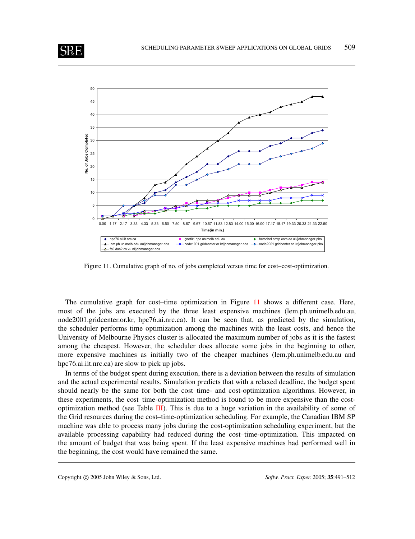

<span id="page-18-0"></span>

Figure 11. Cumulative graph of no. of jobs completed versus time for cost–cost-optimization.

The cumulative graph for cost–time optimization in Figure [11](#page-18-0) shows a different case. Here, most of the jobs are executed by the three least expensive machines (lem.ph.unimelb.edu.au, node2001.gridcenter.or.kr, hpc76.ai.nrc.ca). It can be seen that, as predicted by the simulation, the scheduler performs time optimization among the machines with the least costs, and hence the University of Melbourne Physics cluster is allocated the maximum number of jobs as it is the fastest among the cheapest. However, the scheduler does allocate some jobs in the beginning to other, more expensive machines as initially two of the cheaper machines (lem.ph.unimelb.edu.au and hpc76.ai.iit.nrc.ca) are slow to pick up jobs.

In terms of the budget spent during execution, there is a deviation between the results of simulation and the actual experimental results. Simulation predicts that with a relaxed deadline, the budget spent should nearly be the same for both the cost–time- and cost-optimization algorithms. However, in these experiments, the cost–time-optimization method is found to be more expensive than the costoptimization method (see Table  $III$ ). This is due to a huge variation in the availability of some of the Grid resources during the cost–time-optimization scheduling. For example, the Canadian IBM SP machine was able to process many jobs during the cost-optimization scheduling experiment, but the available processing capability had reduced during the cost–time-optimization. This impacted on the amount of budget that was being spent. If the least expensive machines had performed well in the beginning, the cost would have remained the same.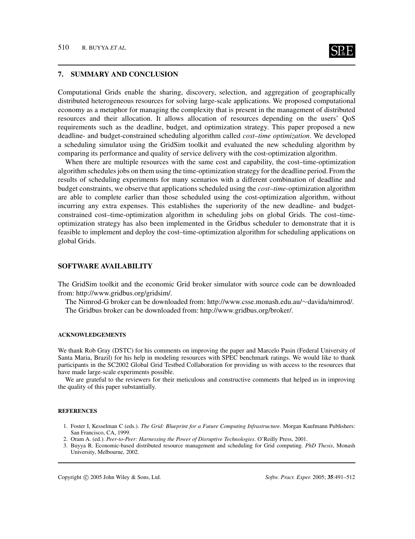# **7. SUMMARY AND CONCLUSION**

Computational Grids enable the sharing, discovery, selection, and aggregation of geographically distributed heterogeneous resources for solving large-scale applications. We proposed computational economy as a metaphor for managing the complexity that is present in the management of distributed resources and their allocation. It allows allocation of resources depending on the users' QoS requirements such as the deadline, budget, and optimization strategy. This paper proposed a new deadline- and budget-constrained scheduling algorithm called *cost–time optimization*. We developed a scheduling simulator using the GridSim toolkit and evaluated the new scheduling algorithm by comparing its performance and quality of service delivery with the cost-optimization algorithm.

When there are multiple resources with the same cost and capability, the cost–time-optimization algorithm schedules jobs on them using the time-optimization strategy for the deadline period. From the results of scheduling experiments for many scenarios with a different combination of deadline and budget constraints, we observe that applications scheduled using the *cost*–*time*-optimization algorithm are able to complete earlier than those scheduled using the cost-optimization algorithm, without incurring any extra expenses. This establishes the superiority of the new deadline- and budgetconstrained cost–time-optimization algorithm in scheduling jobs on global Grids. The cost–timeoptimization strategy has also been implemented in the Gridbus scheduler to demonstrate that it is feasible to implement and deploy the cost–time-optimization algorithm for scheduling applications on global Grids.

## **SOFTWARE AVAILABILITY**

The GridSim toolkit and the economic Grid broker simulator with source code can be downloaded from: http://www.gridbus.org/gridsim/.

The Nimrod-G broker can be downloaded from: http://www.csse.monash.edu.au/∼davida/nimrod/. The Gridbus broker can be downloaded from: http://www.gridbus.org/broker/.

#### **ACKNOWLEDGEMENTS**

We thank Rob Gray (DSTC) for his comments on improving the paper and Marcelo Pasin (Federal University of Santa Maria, Brazil) for his help in modeling resources with SPEC benchmark ratings. We would like to thank participants in the SC2002 Global Grid Testbed Collaboration for providing us with access to the resources that have made large-scale experiments possible.

We are grateful to the reviewers for their meticulous and constructive comments that helped us in improving the quality of this paper substantially.

#### **REFERENCES**

- <span id="page-19-1"></span>1. Foster I, Kesselman C (eds.). *The Grid: Blueprint for a Future Computing Infrastructure*. Morgan Kaufmann Publishers: San Francisco, CA, 1999.
- <span id="page-19-2"></span>2. Oram A. (ed.). *Peer-to-Peer: Harnessing the Power of Disruptive Technologies*. O'Reilly Press, 2001.
- <span id="page-19-0"></span>3. Buyya R. Economic-based distributed resource management and scheduling for Grid computing. *PhD Thesis*, Monash University, Melbourne, 2002.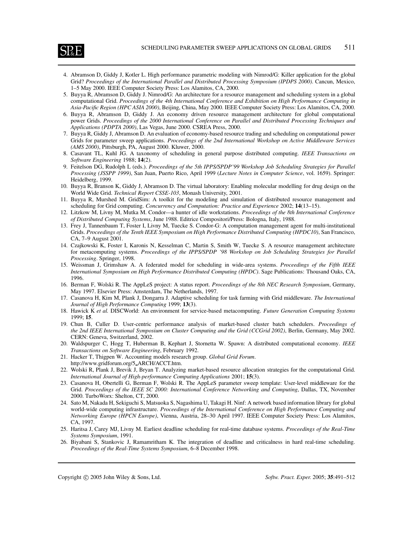

- <span id="page-20-2"></span>4. Abramson D, Giddy J, Kotler L. High performance parametric modeling with Nimrod/G: Killer application for the global Grid? *Proceedings of the International Parallel and Distributed Processing Symposium (IPDPS 2000)*. Cancun, Mexico, 1–5 May 2000. IEEE Computer Society Press: Los Alamitos, CA, 2000.
- <span id="page-20-0"></span>5. Buyya R, Abramson D, Giddy J. Nimrod/G: An architecture for a resource management and scheduling system in a global computational Grid. *Proceedings of the 4th International Conference and Exhibition on High Performance Computing in Asia-Pacific Region (HPC ASIA 2000)*, Beijing, China, May 2000. IEEE Computer Society Press: Los Alamitos, CA, 2000.
- 6. Buyya R, Abramson D, Giddy J. An economy driven resource management architecture for global computational power Grids. *Proceedings of the 2000 International Conference on Parallel and Distributed Processing Techniques and Applications (PDPTA 2000)*, Las Vegas, June 2000. CSREA Press, 2000.
- <span id="page-20-4"></span>7. Buyya R, Giddy J, Abramson D. An evaluation of economy-based resource trading and scheduling on computational power Grids for parameter sweep applications. *Proceedings of the 2nd International Workshop on Active Middleware Services (AMS 2000)*, Pittsburgh, PA, August 2000. Kluwer, 2000.
- <span id="page-20-3"></span>8. Casavant TL, Kuhl JG. A taxonomy of scheduling in general purpose distributed computing. *IEEE Transactions on Software Engineering* 1988; **14**(2).
- <span id="page-20-1"></span>9. Feitelson DG, Rudolph L (eds.). *Proceedings of the 5th IPPS/SPDP'99 Workshop Job Scheduling Strategies for Parallel Processing (JSSPP 1999)*, San Juan, Puerto Rico, April 1999 (*Lecture Notes in Computer Science*, vol. 1659). Springer: Heidelberg, 1999.
- <span id="page-20-5"></span>10. Buyya R, Branson K, Giddy J, Abramson D. The virtual laboratory: Enabling molecular modelling for drug design on the World Wide Grid. *Technical Report CSSE-103*, Monash University, 2001.
- <span id="page-20-10"></span>11. Buyya R, Murshed M. GridSim: A toolkit for the modeling and simulation of distributed resource management and scheduling for Grid computing. *Concurrency and Computation: Practice and Experience* 2002; **14**(13–15).
- <span id="page-20-9"></span>12. Litzkow M, Livny M, Mutka M. Condor—a hunter of idle workstations. *Proceedings of the 8th International Conference of Distributed Computing Systems*, June 1988. Editrice Compositori/Press: Bologna, Italy, 1988.
- <span id="page-20-7"></span>13. Frey J, Tannenbaum T, Foster I, Livny M, Tuecke S. Condor-G: A computation management agent for multi-institutional Grids. *Proceedings of the Tenth IEEE Symposium on High Performance Distributed Computing (HPDC10)*, San Francisco, CA, 7–9 August 2001.
- <span id="page-20-6"></span>14. Czajkowski K, Foster I, Karonis N, Kesselman C, Martin S, Smith W, Tuecke S. A resource management architecture for metacomputing systems. *Proceedings of the IPPS/SPDP '98 Workshop on Job Scheduling Strategies for Parallel Processing*. Springer, 1998.
- <span id="page-20-8"></span>15. Weissman J, Grimshaw A. A federated model for scheduling in wide-area systems. *Proceedings of the Fifth IEEE International Symposium on High Performance Distributed Computing (HPDC)*. Sage Publications: Thousand Oaks, CA, 1996.
- <span id="page-20-14"></span>16. Berman F, Wolski R. The AppLeS project: A status report. *Proceedings of the 8th NEC Research Symposium*, Germany, May 1997. Elsevier Press: Amsterdam, The Netherlands, 1997.
- <span id="page-20-11"></span>17. Casanova H, Kim M, Plank J, Dongarra J. Adaptive scheduling for task farming with Grid middleware. *The International Journal of High Performance Computing* 1999; **13**(3).
- <span id="page-20-19"></span>18. Hawick K *et al.* DISCWorld: An environment for service-based metacomputing. *Future Generation Computing Systems* 1999; **15**.
- <span id="page-20-15"></span>19. Chun B, Culler D. User-centric performance analysis of market-based cluster batch schedulers. *Proceedings of the 2nd IEEE International Symposium on Cluster Computing and the Grid (CCGrid 2002)*, Berlin, Germany, May 2002. CERN: Geneva, Switzerland, 2002.
- <span id="page-20-12"></span>20. Waldspurger C, Hogg T, Huberman B, Kephart J, Stornetta W. Spawn: A distributed computational economy. *IEEE Transactions on Software Engineering*, February 1992.
- 21. Hacker T, Thigpen W. Accounting models research group. *Global Grid Forum*.
- <span id="page-20-16"></span><span id="page-20-13"></span>http://www.gridforum.org/5 ARCH/ACCT.htm.
- 22. Wolski R, Plank J, Brevik J, Bryan T. Analyzing market-based resource allocation strategies for the computational Grid. *International Journal of High-performance Computing Applications* 2001; **15**(3).
- <span id="page-20-17"></span>23. Casanova H, Obertelli G, Berman F, Wolski R. The AppLeS parameter sweep template: User-level middleware for the Grid. *Proceedings of the IEEE SC 2000: International Conference Networking and Computing*, Dallas, TX, November 2000. TurboWorx: Shelton, CT, 2000.
- <span id="page-20-18"></span>24. Sato M, Nakada H, Sekiguchi S, Matsuoka S, Nagashima U, Takagi H. Ninf: A network based information library for global world-wide computing infrastructure. *Proceedings of the International Conference on High Performance Computing and Networking Europe (HPCN Europe)*, Vienna, Austria, 28–30 April 1997. IEEE Computer Society Press: Los Alamitos, CA, 1997.
- <span id="page-20-20"></span>25. Haritsa J, Carey MJ, Livny M. Earliest deadline scheduling for real-time database systems. *Proceedings of the Real-Time Systems Symposium*, 1991.
- 26. Biyabani S, Stankovic J, Ramamritham K. The integration of deadline and criticalness in hard real-time scheduling. *Proceedings of the Real-Time Systems Symposium*, 6–8 December 1998.